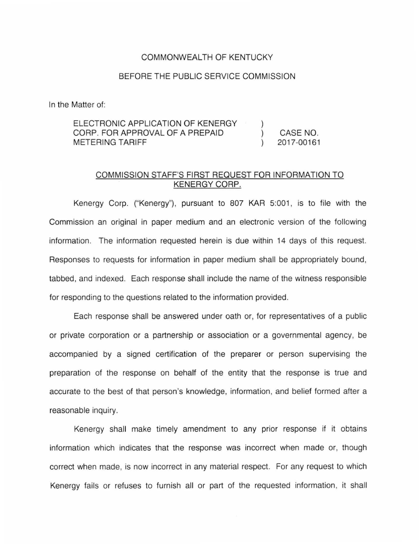## COMMONWEALTH OF KENTUCKY

## BEFORE THE PUBLIC SERVICE COMMISSION

In the Matter of:

## ELECTRONIC APPLICATION OF KENERGY CORP. FOR APPROVAL OF A PREPAID CASE NO.  $\mathcal{L}$ METERING TARIFF 2017-00161

## COMMISSION STAFF'S FIRST REQUEST FOR INFORMATION TO KENERGY CORP.

Kenergy Corp. ("Kenergy"), pursuant to 807 KAR 5:001 , is to file with the Commission an original in paper medium and an electronic version of the following information. The information requested herein is due within 14 days of this request. Responses to requests for information in paper medium shall be appropriately bound, tabbed, and indexed. Each response shall include the name of the witness responsible for responding to the questions related to the information provided.

Each response shall be answered under oath or, for representatives of a public or private corporation or a partnership or association or a governmental agency, be accompanied by a signed certification of the preparer or person supervising the preparation of the response on behalf of the entity that the response is true and accurate to the best of that person's knowledge, information, and belief formed after a reasonable inquiry.

Kenergy shall make timely amendment to any prior response if it obtains information which indicates that the response was incorrect when made or, though correct when made, is now incorrect in any material respect. For any request to which Kenergy fails or refuses to furnish all or part of the requested information, it shall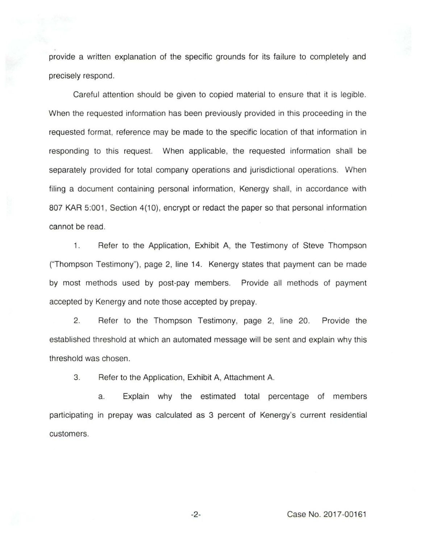provide a written explanation of the specific grounds for its failure to completely and precisely respond.

Careful attention should be given to copied material to ensure that it is legible. When the requested information has been previously provided in this proceeding in the requested format, reference may be made to the specific location of that information in responding to this request. When applicable, the requested information shall be separately provided for total company operations and jurisdictional operations. When filing a document containing personal information, Kenergy shall, in accordance with 807 KAR 5:001, Section 4(10), encrypt or redact the paper so that personal information cannot be read.

1. Refer to the Application, Exhibit A, the Testimony of Steve Thompson ("Thompson Testimony"), page 2, line 14. Kenergy states that payment can be made by most methods used by post-pay members. Provide all methods of payment accepted by Kenergy and note those accepted by prepay.

2. Refer to the Thompson Testimony, page 2, line 20. Provide the established threshold at which an automated message will be sent and explain why this threshold was chosen.

3. Refer to the Application, Exhibit A, Attachment A.

a. Explain why the estimated total percentage of members participating in prepay was calculated as 3 percent of Kenergy's current residential customers.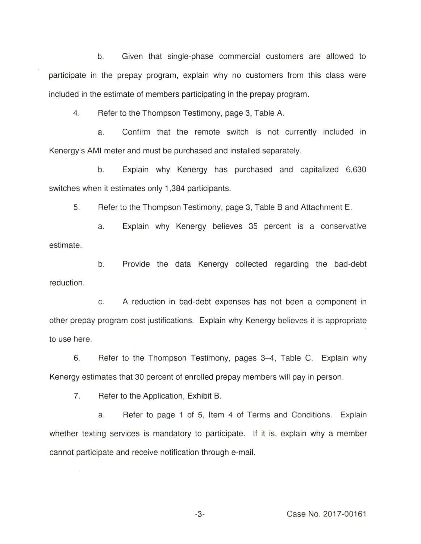b. Given that single-phase commercial customers are allowed to participate in the prepay program, explain why no customers from this class were included in the estimate of members participating in the prepay program.

4. Refer to the Thompson Testimony, page 3, Table A.

a. Confirm that the remote switch is not currently included in Kenergy's AMI meter and must be purchased and installed separately.

b. Explain why Kenergy has purchased and capitalized 6,630 switches when it estimates only 1,384 participants.

5. Refer to the Thompson Testimony, page 3, Table 8 and Attachment E.

a. Explain why Kenergy believes 35 percent is a conservative estimate.

b. Provide the data Kenergy collected regarding the bad-debt reduction.

c. A reduction in bad-debt expenses has not been a component in other prepay program cost justifications. Explain why Kenergy believes it is appropriate to use here.

6. Refer to the Thompson Testimony, pages 3-4, Table C. Explain why Kenergy estimates that 30 percent of enrolled prepay members will pay in person.

7. Refer to the Application, Exhibit B.

a. Refer to page 1 of 5, Item 4 of Terms and Conditions. Explain whether texting services is mandatory to participate. If it is, explain why a member cannot participate and receive notification through e-mail.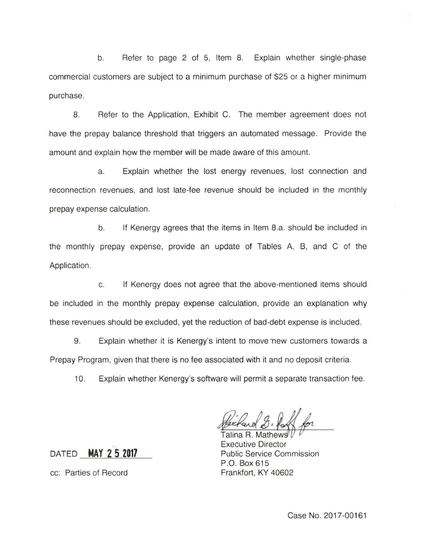b. Refer to page 2 of 5, Item 8. Explain whether single-phase commercial customers are subject to a minimum purchase of \$25 or a higher minimum purchase.

8. Refer to the Application, Exhibit C. The member agreement does not have the prepay balance threshold that triggers an automated message. Provide the amount and explain how the member will be made aware of this amount.

a. Explain whether the lost energy revenues, lost connection and reconnection revenues, and lost late-fee revenue should be included in the monthly prepay expense calculation.

b. If Kenergy agrees that the items in Item B.a. should be included in the monthly prepay expense, provide an update of Tables A, B, and C of the Application.

c. If Kenergy does not agree that the above-mentioned items should be included in the monthly prepay expense calculation, provide an explanation why these revenues should be excluded, yet the reduction of bad-debt expense is included.

9. Explain whether it is Kenergy's intent to move new customers towards a Prepay Program, given that there is no fee associated with it and no deposit criteria.

10. Explain whether Kenergy's software will permit a separate transaction fee.

Talina R. Mat Executive Director Public Service Commission P.O. Box 615 Frankfort, KY 40602

DATED **MAY 2 s 2017** 

cc: Parties of Record